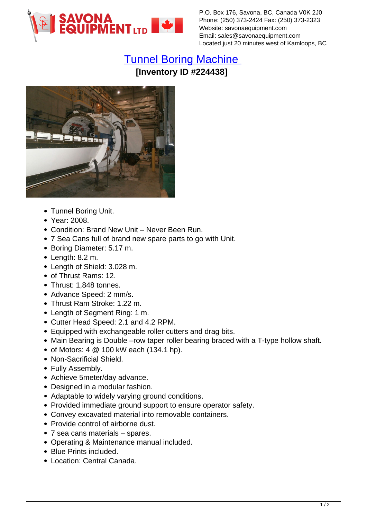

P.O. Box 176, Savona, BC, Canada V0K 2J0 Phone: (250) 373-2424 Fax: (250) 373-2323 Website: savonaequipment.com Email: sales@savonaequipment.com Located just 20 minutes west of Kamloops, BC

## [Tunnel Boring Machine](https://www.savonaequipment.com/en/tunnel-boring-machine-p224438) **[Inventory ID #224438]**



- Tunnel Boring Unit.
- Year: 2008.
- Condition: Brand New Unit Never Been Run.
- 7 Sea Cans full of brand new spare parts to go with Unit.
- Boring Diameter: 5.17 m.
- $\bullet$  Length: 8.2 m.
- Length of Shield: 3.028 m.
- of Thrust Rams: 12.
- Thrust: 1,848 tonnes.
- Advance Speed: 2 mm/s.
- Thrust Ram Stroke: 1.22 m.
- Length of Segment Ring: 1 m.
- Cutter Head Speed: 2.1 and 4.2 RPM.
- Equipped with exchangeable roller cutters and drag bits.
- Main Bearing is Double –row taper roller bearing braced with a T-type hollow shaft.
- $\bullet$  of Motors: 4  $@$  100 kW each (134.1 hp).
- Non-Sacrificial Shield.
- Fully Assembly.
- Achieve 5meter/day advance.
- Designed in a modular fashion.
- Adaptable to widely varying ground conditions.
- Provided immediate ground support to ensure operator safety.
- Convey excavated material into removable containers.
- Provide control of airborne dust.
- 7 sea cans materials spares.
- Operating & Maintenance manual included.
- Blue Prints included.
- Location: Central Canada.